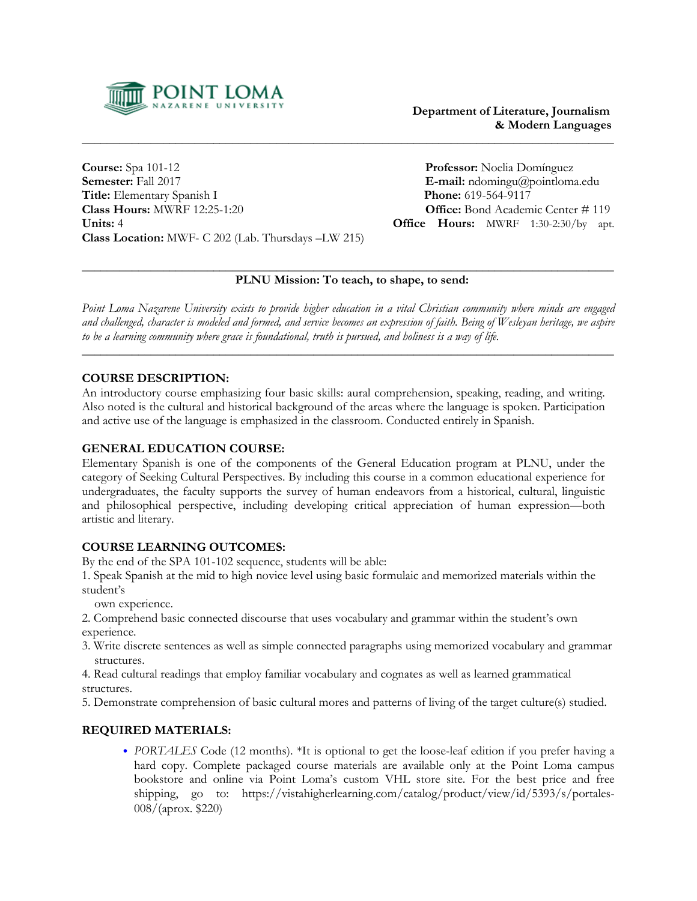

**Course:** Spa 101-12 **Professor:** Noelia Domínguez<br> **Semester:** Fall 2017 **E-mail:** ndomingu@pointloma **Title:** Elementary Spanish I **Phone:** 619-564-9117 **Class Hours:** MWRF 12:25-1:20 **Office:** Bond Academic Center # 119 **Units:** 4 **Office Hours:** MWRF 1:30-2:30/by apt. **Class Location:** MWF- C 202 (Lab. Thursdays –LW 215)

**E-mail:** ndomingu@pointloma.edu

#### \_\_\_\_\_\_\_\_\_\_\_\_\_\_\_\_\_\_\_\_\_\_\_\_\_\_\_\_\_\_\_\_\_\_\_\_\_\_\_\_\_\_\_\_\_\_\_\_\_\_\_\_\_\_\_\_\_\_\_\_\_\_\_\_\_\_\_\_\_\_\_\_\_\_\_\_\_\_\_\_\_\_\_\_\_  **PLNU Mission: To teach, to shape, to send:**

\_\_\_\_\_\_\_\_\_\_\_\_\_\_\_\_\_\_\_\_\_\_\_\_\_\_\_\_\_\_\_\_\_\_\_\_\_\_\_\_\_\_\_\_\_\_\_\_\_\_\_\_\_\_\_\_\_\_\_\_\_\_\_\_\_\_\_\_\_\_\_\_\_\_\_\_\_\_\_\_\_\_\_\_\_

Point Loma Nazarene University exists to provide higher education in a vital Christian community where minds are engaged and challenged, character is modeled and formed, and service becomes an expression of faith. Being of Wesleyan heritage, we aspire to be a learning community where grace is foundational, truth is pursued, and holiness is a way of life.

\_\_\_\_\_\_\_\_\_\_\_\_\_\_\_\_\_\_\_\_\_\_\_\_\_\_\_\_\_\_\_\_\_\_\_\_\_\_\_\_\_\_\_\_\_\_\_\_\_\_\_\_\_\_\_\_\_\_\_\_\_\_\_\_\_\_\_\_\_\_\_\_\_\_\_\_\_\_\_\_\_\_\_\_\_

# **COURSE DESCRIPTION:**

An introductory course emphasizing four basic skills: aural comprehension, speaking, reading, and writing. Also noted is the cultural and historical background of the areas where the language is spoken. Participation and active use of the language is emphasized in the classroom. Conducted entirely in Spanish.

# **GENERAL EDUCATION COURSE:**

Elementary Spanish is one of the components of the General Education program at PLNU, under the category of Seeking Cultural Perspectives. By including this course in a common educational experience for undergraduates, the faculty supports the survey of human endeavors from a historical, cultural, linguistic and philosophical perspective, including developing critical appreciation of human expression—both artistic and literary.

## **COURSE LEARNING OUTCOMES:**

By the end of the SPA 101-102 sequence, students will be able:

1. Speak Spanish at the mid to high novice level using basic formulaic and memorized materials within the student's

own experience.

2. Comprehend basic connected discourse that uses vocabulary and grammar within the student's own experience.

3. Write discrete sentences as well as simple connected paragraphs using memorized vocabulary and grammar structures.

4. Read cultural readings that employ familiar vocabulary and cognates as well as learned grammatical structures.

5. Demonstrate comprehension of basic cultural mores and patterns of living of the target culture(s) studied.

## **REQUIRED MATERIALS:**

• *PORTALES* Code (12 months). \*It is optional to get the loose-leaf edition if you prefer having a hard copy. Complete packaged course materials are available only at the Point Loma campus bookstore and online via Point Loma's custom VHL store site. For the best price and free shipping, go to: https://vistahigherlearning.com/catalog/product/view/id/5393/s/portales-008/(aprox. \$220)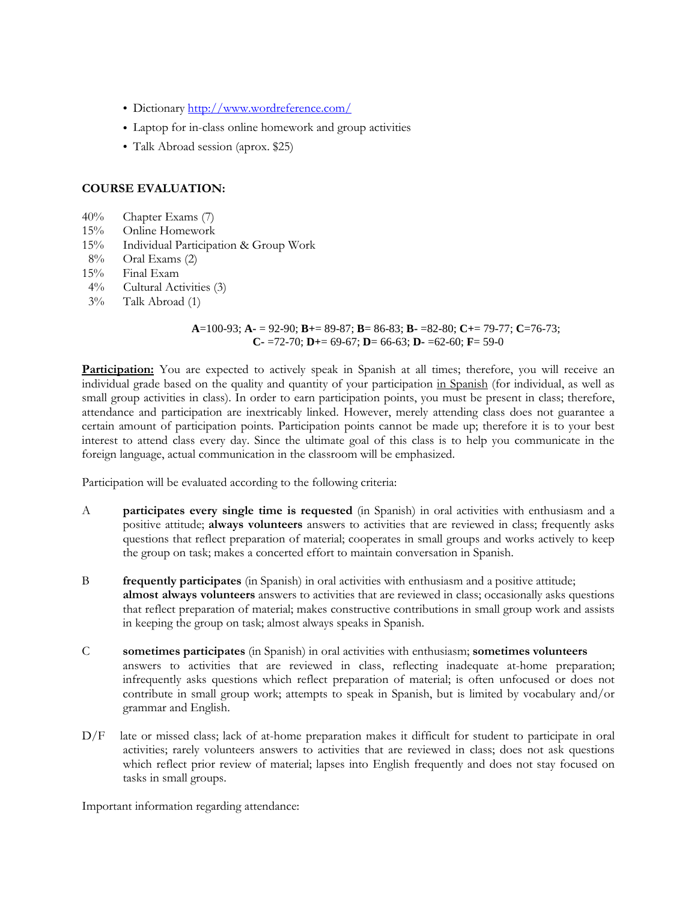- Dictionary <http://www.wordreference.com/>
- Laptop for in-class online homework and group activities
- Talk Abroad session (aprox. \$25)

#### **COURSE EVALUATION:**

- 40% Chapter Exams (7)
- 
- 15% Online Homework<br>15% Individual Participa 15% Individual Participation & Group Work
- 8% Oral Exams (2)
- 15% Final Exam
- 4% Cultural Activities (3)
- 3% Talk Abroad (1)

 **A**=100-93; **A-** = 92-90; **B+**= 89-87; **B**= 86-83; **B-** =82-80; **C+**= 79-77; **C**=76-73; **C-** =72-70; **D+**= 69-67; **D**= 66-63; **D-** =62-60; **F**= 59-0

**Participation:** You are expected to actively speak in Spanish at all times; therefore, you will receive an individual grade based on the quality and quantity of your participation in Spanish (for individual, as well as small group activities in class). In order to earn participation points, you must be present in class; therefore, attendance and participation are inextricably linked. However, merely attending class does not guarantee a certain amount of participation points. Participation points cannot be made up; therefore it is to your best interest to attend class every day. Since the ultimate goal of this class is to help you communicate in the foreign language, actual communication in the classroom will be emphasized.

Participation will be evaluated according to the following criteria:

- A **participates every single time is requested** (in Spanish) in oral activities with enthusiasm and a positive attitude; **always volunteers** answers to activities that are reviewed in class; frequently asks questions that reflect preparation of material; cooperates in small groups and works actively to keep the group on task; makes a concerted effort to maintain conversation in Spanish.
- B **frequently participates** (in Spanish) in oral activities with enthusiasm and a positive attitude; **almost always volunteers** answers to activities that are reviewed in class; occasionally asks questions that reflect preparation of material; makes constructive contributions in small group work and assists in keeping the group on task; almost always speaks in Spanish.
- C **sometimes participates** (in Spanish) in oral activities with enthusiasm; **sometimes volunteers** answers to activities that are reviewed in class, reflecting inadequate at-home preparation; infrequently asks questions which reflect preparation of material; is often unfocused or does not contribute in small group work; attempts to speak in Spanish, but is limited by vocabulary and/or grammar and English.
- D/F late or missed class; lack of at-home preparation makes it difficult for student to participate in oral activities; rarely volunteers answers to activities that are reviewed in class; does not ask questions which reflect prior review of material; lapses into English frequently and does not stay focused on tasks in small groups.

Important information regarding attendance: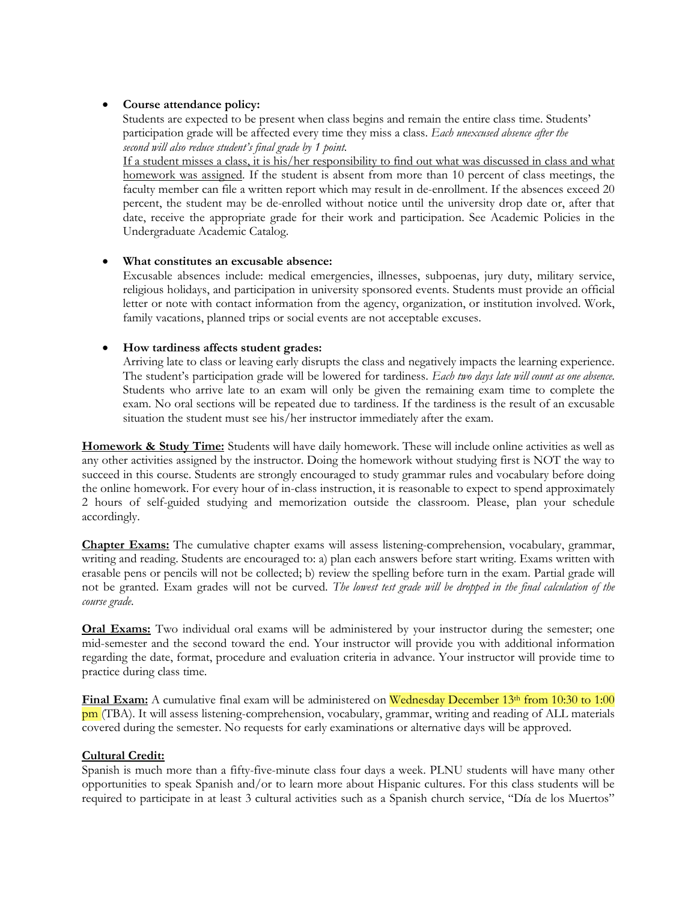## • **Course attendance policy:**

 Students are expected to be present when class begins and remain the entire class time. Students' participation grade will be affected every time they miss a class. *Each unexcused absence after the second will also reduce student's final grade by 1 point.*

If a student misses a class, it is his/her responsibility to find out what was discussed in class and what homework was assigned. If the student is absent from more than 10 percent of class meetings, the faculty member can file a written report which may result in de-enrollment. If the absences exceed 20 percent, the student may be de-enrolled without notice until the university drop date or, after that date, receive the appropriate grade for their work and participation. See Academic Policies in the Undergraduate Academic Catalog.

## • **What constitutes an excusable absence:**

Excusable absences include: medical emergencies, illnesses, subpoenas, jury duty, military service, religious holidays, and participation in university sponsored events. Students must provide an official letter or note with contact information from the agency, organization, or institution involved. Work, family vacations, planned trips or social events are not acceptable excuses.

# • **How tardiness affects student grades:**

Arriving late to class or leaving early disrupts the class and negatively impacts the learning experience. The student's participation grade will be lowered for tardiness. *Each two days late will count as one absence*. Students who arrive late to an exam will only be given the remaining exam time to complete the exam. No oral sections will be repeated due to tardiness. If the tardiness is the result of an excusable situation the student must see his/her instructor immediately after the exam.

**Homework & Study Time:** Students will have daily homework. These will include online activities as well as any other activities assigned by the instructor. Doing the homework without studying first is NOT the way to succeed in this course. Students are strongly encouraged to study grammar rules and vocabulary before doing the online homework. For every hour of in-class instruction, it is reasonable to expect to spend approximately 2 hours of self-guided studying and memorization outside the classroom. Please, plan your schedule accordingly.

**Chapter Exams:** The cumulative chapter exams will assess listening-comprehension, vocabulary, grammar, writing and reading. Students are encouraged to: a) plan each answers before start writing. Exams written with erasable pens or pencils will not be collected; b) review the spelling before turn in the exam. Partial grade will not be granted. Exam grades will not be curved. *The lowest test grade will be dropped in the final calculation of the course grade*.

**Oral Exams:** Two individual oral exams will be administered by your instructor during the semester; one mid-semester and the second toward the end. Your instructor will provide you with additional information regarding the date, format, procedure and evaluation criteria in advance. Your instructor will provide time to practice during class time.

**Final Exam:** A cumulative final exam will be administered on Wednesday December 13<sup>th</sup> from 10:30 to 1:00 pm (TBA). It will assess listening-comprehension, vocabulary, grammar, writing and reading of ALL materials covered during the semester. No requests for early examinations or alternative days will be approved.

## **Cultural Credit:**

Spanish is much more than a fifty-five-minute class four days a week. PLNU students will have many other opportunities to speak Spanish and/or to learn more about Hispanic cultures. For this class students will be required to participate in at least 3 cultural activities such as a Spanish church service, "Día de los Muertos"